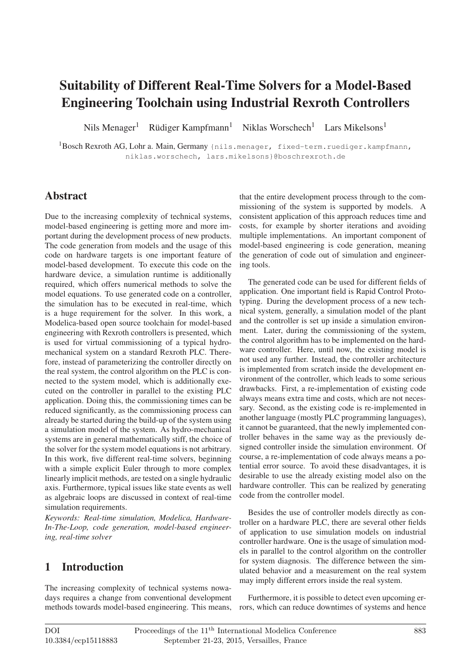# **Suitability of Different Real-Time Solvers for a Model-Based Engineering Toolchain using Industrial Rexroth Controllers**

Nils Menager<sup>1</sup> Rüdiger Kampfmann<sup>1</sup> Niklas Worschech<sup>1</sup> Lars Mikelsons<sup>1</sup>

<sup>1</sup>Bosch Rexroth AG, Lohr a. Main, Germany {nils.menager, fixed-term.ruediger.kampfmann, niklas.worschech, lars.mikelsons}@boschrexroth.de

### **Abstract**

Due to the increasing complexity of technical systems, model-based engineering is getting more and more important during the development process of new products. The code generation from models and the usage of this code on hardware targets is one important feature of model-based development. To execute this code on the hardware device, a simulation runtime is additionally required, which offers numerical methods to solve the model equations. To use generated code on a controller, the simulation has to be executed in real-time, which is a huge requirement for the solver. In this work, a Modelica-based open source toolchain for model-based engineering with Rexroth controllers is presented, which is used for virtual commissioning of a typical hydromechanical system on a standard Rexroth PLC. Therefore, instead of parameterizing the controller directly on the real system, the control algorithm on the PLC is connected to the system model, which is additionally executed on the controller in parallel to the existing PLC application. Doing this, the commissioning times can be reduced significantly, as the commissioning process can already be started during the build-up of the system using a simulation model of the system. As hydro-mechanical systems are in general mathematically stiff, the choice of the solver for the system model equations is not arbitrary. In this work, five different real-time solvers, beginning with a simple explicit Euler through to more complex linearly implicit methods, are tested on a single hydraulic axis. Furthermore, typical issues like state events as well as algebraic loops are discussed in context of real-time simulation requirements.

*Keywords: Real-time simulation, Modelica, Hardware-In-The-Loop, code generation, model-based engineering, real-time solver*

### **1 Introduction**

The increasing complexity of technical systems nowadays requires a change from conventional development methods towards model-based engineering. This means, that the entire development process through to the commissioning of the system is supported by models. A consistent application of this approach reduces time and costs, for example by shorter iterations and avoiding multiple implementations. An important component of model-based engineering is code generation, meaning the generation of code out of simulation and engineering tools.

The generated code can be used for different fields of application. One important field is Rapid Control Prototyping. During the development process of a new technical system, generally, a simulation model of the plant and the controller is set up inside a simulation environment. Later, during the commissioning of the system, the control algorithm has to be implemented on the hardware controller. Here, until now, the existing model is not used any further. Instead, the controller architecture is implemented from scratch inside the development environment of the controller, which leads to some serious drawbacks. First, a re-implementation of existing code always means extra time and costs, which are not necessary. Second, as the existing code is re-implemented in another language (mostly PLC programming languages), it cannot be guaranteed, that the newly implemented controller behaves in the same way as the previously designed controller inside the simulation environment. Of course, a re-implementation of code always means a potential error source. To avoid these disadvantages, it is desirable to use the already existing model also on the hardware controller. This can be realized by generating code from the controller model.

Besides the use of controller models directly as controller on a hardware PLC, there are several other fields of application to use simulation models on industrial controller hardware. One is the usage of simulation models in parallel to the control algorithm on the controller for system diagnosis. The difference between the simulated behavior and a measurement on the real system may imply different errors inside the real system.

Furthermore, it is possible to detect even upcoming errors, which can reduce downtimes of systems and hence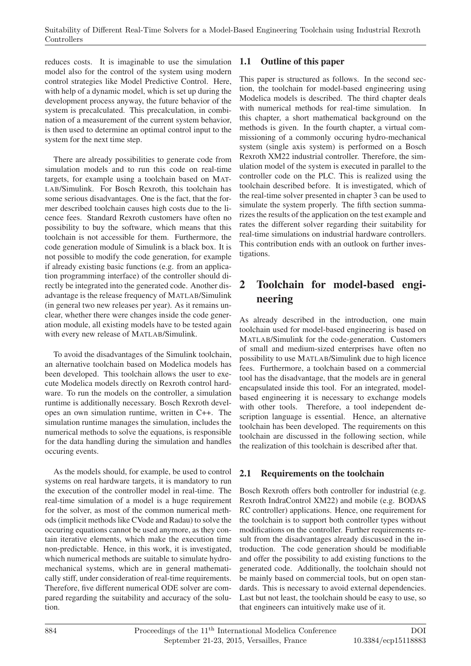reduces costs. It is imaginable to use the simulation model also for the control of the system using modern control strategies like Model Predictive Control. Here, with help of a dynamic model, which is set up during the development process anyway, the future behavior of the system is precalculated. This precalculation, in combination of a measurement of the current system behavior, is then used to determine an optimal control input to the system for the next time step.

There are already possibilities to generate code from simulation models and to run this code on real-time targets, for example using a toolchain based on MAT-LAB/Simulink. For Bosch Rexroth, this toolchain has some serious disadvantages. One is the fact, that the former described toolchain causes high costs due to the licence fees. Standard Rexroth customers have often no possibility to buy the software, which means that this toolchain is not accessible for them. Furthermore, the code generation module of Simulink is a black box. It is not possible to modify the code generation, for example if already existing basic functions (e.g. from an application programming interface) of the controller should directly be integrated into the generated code. Another disadvantage is the release frequency of MATLAB/Simulink (in general two new releases per year). As it remains unclear, whether there were changes inside the code generation module, all existing models have to be tested again with every new release of MATLAB/Simulink.

To avoid the disadvantages of the Simulink toolchain, an alternative toolchain based on Modelica models has been developed. This toolchain allows the user to execute Modelica models directly on Rexroth control hardware. To run the models on the controller, a simulation runtime is additionally necessary. Bosch Rexroth developes an own simulation runtime, written in C++. The simulation runtime manages the simulation, includes the numerical methods to solve the equations, is responsible for the data handling during the simulation and handles occuring events.

As the models should, for example, be used to control systems on real hardware targets, it is mandatory to run the execution of the controller model in real-time. The real-time simulation of a model is a huge requirement for the solver, as most of the common numerical methods (implicit methods like CVode and Radau) to solve the occuring equations cannot be used anymore, as they contain iterative elements, which make the execution time non-predictable. Hence, in this work, it is investigated, which numerical methods are suitable to simulate hydromechanical systems, which are in general mathematically stiff, under consideration of real-time requirements. Therefore, five different numerical ODE solver are compared regarding the suitability and accuracy of the solution.

### **1.1 Outline of this paper**

This paper is structured as follows. In the second section, the toolchain for model-based engineering using Modelica models is described. The third chapter deals with numerical methods for real-time simulation. In this chapter, a short mathematical background on the methods is given. In the fourth chapter, a virtual commissioning of a commonly occuring hydro-mechanical system (single axis system) is performed on a Bosch Rexroth XM22 industrial controller. Therefore, the simulation model of the system is executed in parallel to the controller code on the PLC. This is realized using the toolchain described before. It is investigated, which of the real-time solver presented in chapter 3 can be used to simulate the system properly. The fifth section summarizes the results of the application on the test example and rates the different solver regarding their suitability for real-time simulations on industrial hardware controllers. This contribution ends with an outlook on further investigations.

# **2 Toolchain for model-based engineering**

As already described in the introduction, one main toolchain used for model-based engineering is based on MATLAB/Simulink for the code-generation. Customers of small and medium-sized enterprises have often no possibility to use MATLAB/Simulink due to high licence fees. Furthermore, a toolchain based on a commercial tool has the disadvantage, that the models are in general encapsulated inside this tool. For an integrated, modelbased engineering it is necessary to exchange models with other tools. Therefore, a tool independent description language is essential. Hence, an alternative toolchain has been developed. The requirements on this toolchain are discussed in the following section, while the realization of this toolchain is described after that.

### **2.1 Requirements on the toolchain**

Bosch Rexroth offers both controller for industrial (e.g. Rexroth IndraControl XM22) and mobile (e.g. BODAS RC controller) applications. Hence, one requirement for the toolchain is to support both controller types without modifications on the controller. Further requirements result from the disadvantages already discussed in the introduction. The code generation should be modifiable and offer the possibility to add existing functions to the generated code. Additionally, the toolchain should not be mainly based on commercial tools, but on open standards. This is necessary to avoid external dependencies. Last but not least, the toolchain should be easy to use, so that engineers can intuitively make use of it.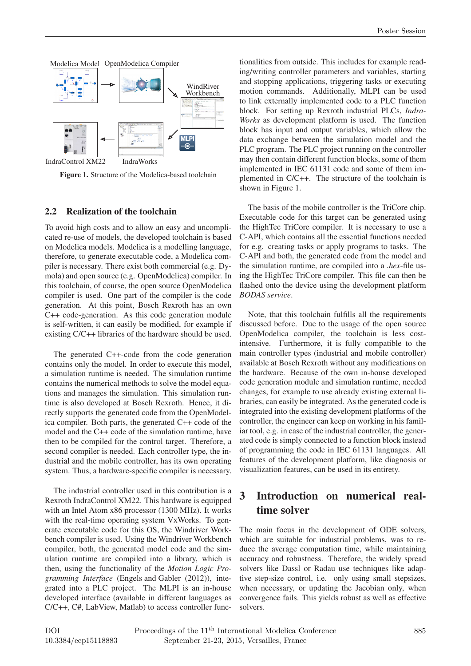

**Figure 1.** Structure of the Modelica-based toolchain

#### **2.2 Realization of the toolchain**

To avoid high costs and to allow an easy and uncomplicated re-use of models, the developed toolchain is based on Modelica models. Modelica is a modelling language, therefore, to generate executable code, a Modelica compiler is necessary. There exist both commercial (e.g. Dymola) and open source (e.g. OpenModelica) compiler. In this toolchain, of course, the open source OpenModelica compiler is used. One part of the compiler is the code generation. At this point, Bosch Rexroth has an own C++ code-generation. As this code generation module is self-written, it can easily be modified, for example if existing C/C++ libraries of the hardware should be used.

The generated C++-code from the code generation contains only the model. In order to execute this model, a simulation runtime is needed. The simulation runtime contains the numerical methods to solve the model equations and manages the simulation. This simulation runtime is also developed at Bosch Rexroth. Hence, it directly supports the generated code from the OpenModelica compiler. Both parts, the generated C++ code of the model and the C++ code of the simulation runtime, have then to be compiled for the control target. Therefore, a second compiler is needed. Each controller type, the industrial and the mobile controller, has its own operating system. Thus, a hardware-specific compiler is necessary.

The industrial controller used in this contribution is a Rexroth IndraControl XM22. This hardware is equipped with an Intel Atom x86 processor (1300 MHz). It works with the real-time operating system VxWorks. To generate executable code for this OS, the Windriver Workbench compiler is used. Using the Windriver Workbench compiler, both, the generated model code and the simulation runtime are compiled into a library, which is then, using the functionality of the *Motion Logic Programming Interface* (Engels and Gabler (2012)), integrated into a PLC project. The MLPI is an in-house developed interface (available in different languages as C/C++, C#, LabView, Matlab) to access controller func-

tionalities from outside. This includes for example reading/writing controller parameters and variables, starting and stopping applications, triggering tasks or executing motion commands. Additionally, MLPI can be used to link externally implemented code to a PLC function block. For setting up Rexroth industrial PLCs, *Indra-Works* as development platform is used. The function block has input and output variables, which allow the data exchange between the simulation model and the PLC program. The PLC project running on the controller may then contain different function blocks, some of them implemented in IEC 61131 code and some of them implemented in C/C++. The structure of the toolchain is shown in Figure 1.

The basis of the mobile controller is the TriCore chip. Executable code for this target can be generated using the HighTec TriCore compiler. It is necessary to use a C-API, which contains all the essential functions needed for e.g. creating tasks or apply programs to tasks. The C-API and both, the generated code from the model and the simulation runtime, are compiled into a *.hex*-file using the HighTec TriCore compiler. This file can then be flashed onto the device using the development platform *BODAS service*.

Note, that this toolchain fulfills all the requirements discussed before. Due to the usage of the open source OpenModelica compiler, the toolchain is less costintensive. Furthermore, it is fully compatible to the main controller types (industrial and mobile controller) available at Bosch Rexroth without any modifications on the hardware. Because of the own in-house developed code generation module and simulation runtime, needed changes, for example to use already existing external libraries, can easily be integrated. As the generated code is integrated into the existing development platforms of the controller, the engineer can keep on working in his familiar tool, e.g. in case of the industrial controller, the generated code is simply connected to a function block instead of programming the code in IEC 61131 languages. All features of the development platform, like diagnosis or visualization features, can be used in its entirety.

## **3 Introduction on numerical realtime solver**

The main focus in the development of ODE solvers, which are suitable for industrial problems, was to reduce the average computation time, while maintaining accuracy and robustness. Therefore, the widely spread solvers like Dassl or Radau use techniques like adaptive step-size control, i.e. only using small stepsizes, when necessary, or updating the Jacobian only, when convergence fails. This yields robust as well as effective solvers.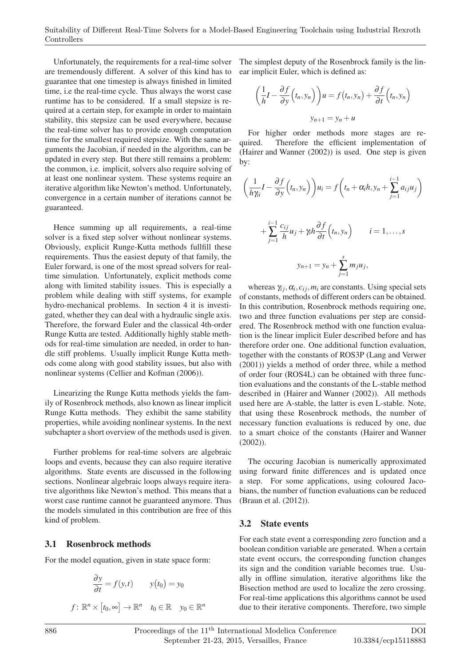Unfortunately, the requirements for a real-time solver are tremendously different. A solver of this kind has to guarantee that one timestep is always finished in limited time, i.e the real-time cycle. Thus always the worst case runtime has to be considered. If a small stepsize is required at a certain step, for example in order to maintain stability, this stepsize can be used everywhere, because the real-time solver has to provide enough computation time for the smallest required stepsize. With the same arguments the Jacobian, if needed in the algorithm, can be updated in every step. But there still remains a problem: the common, i.e. implicit, solvers also require solving of at least one nonlinear system. These systems require an iterative algorithm like Newton's method. Unfortunately, convergence in a certain number of iterations cannot be guaranteed.

Hence summing up all requirements, a real-time solver is a fixed step solver without nonlinear systems. Obviously, explicit Runge-Kutta methods fullfill these requirements. Thus the easiest deputy of that family, the Euler forward, is one of the most spread solvers for realtime simulation. Unfortunately, explicit methods come along with limited stability issues. This is especially a problem while dealing with stiff systems, for example hydro-mechanical problems. In section 4 it is investigated, whether they can deal with a hydraulic single axis. Therefore, the forward Euler and the classical 4th-order Runge Kutta are tested. Additionally highly stable methods for real-time simulation are needed, in order to handle stiff problems. Usually implicit Runge Kutta methods come along with good stability issues, but also with nonlinear systems (Cellier and Kofman (2006)).

Linearizing the Runge Kutta methods yields the family of Rosenbrock methods, also known as linear implicit Runge Kutta methods. They exhibit the same stability properties, while avoiding nonlinear systems. In the next subchapter a short overview of the methods used is given.

Further problems for real-time solvers are algebraic loops and events, because they can also require iterative algorithms. State events are discussed in the following sections. Nonlinear algebraic loops always require iterative algorithms like Newton's method. This means that a worst case runtime cannot be guaranteed anymore. Thus the models simulated in this contribution are free of this kind of problem.

#### **3.1 Rosenbrock methods**

For the model equation, given in state space form:

$$
\frac{\partial y}{\partial t} = f(y, t) \qquad y(t_0) = y_0
$$

 $f: \mathbb{R}^n \times [t_0, \infty] \to \mathbb{R}^n$   $t_0 \in \mathbb{R}$   $y_0 \in \mathbb{R}^n$ 

The simplest deputy of the Rosenbrock family is the linear implicit Euler, which is defined as:

$$
\left(\frac{1}{h}I - \frac{\partial f}{\partial y}(t_n, y_n)\right)u = f(t_n, y_n) + \frac{\partial f}{\partial t}(t_n, y_n)
$$

$$
y_{n+1} = y_n + u
$$

For higher order methods more stages are required. Therefore the efficient implementation of (Hairer and Wanner (2002)) is used. One step is given by:

$$
\left(\frac{1}{h\gamma_{ii}}I - \frac{\partial f}{\partial y}\left(t_n, y_n\right)\right)u_i = f\left(t_n + \alpha_i h, y_n + \sum_{j=1}^{i-1} a_{ij}u_j\right)
$$

$$
+\sum_{j=1}^{i-1}\frac{c_{ij}}{h}u_j+\gamma_i h \frac{\partial f}{\partial t}\Bigl(t_n,y_n\Bigr) \qquad i=1,\ldots,s
$$

$$
y_{n+1}=y_n+\sum_{j=1}^s m_j u_j,
$$

whereas  $\gamma_{ij}, \alpha_i, c_{ij}, m_i$  are constants. Using special sets of constants, methods of different orders can be obtained. In this contribution, Rosenbrock methods requiring one, two and three function evaluations per step are considered. The Rosenbrock method with one function evaluation is the linear implicit Euler described before and has therefore order one. One additional function evaluation, together with the constants of ROS3P (Lang and Verwer (2001)) yields a method of order three, while a method of order four (ROS4L) can be obtained with three function evaluations and the constants of the L-stable method described in (Hairer and Wanner (2002)). All methods used here are A-stable, the latter is even L-stable. Note, that using these Rosenbrock methods, the number of necessary function evaluations is reduced by one, due to a smart choice of the constants (Hairer and Wanner (2002)).

The occuring Jacobian is numerically approximated using forward finite differences and is updated once a step. For some applications, using coloured Jacobians, the number of function evaluations can be reduced (Braun et al. (2012)).

#### **3.2 State events**

For each state event a corresponding zero function and a boolean condition variable are generated. When a certain state event occurs, the corresponding function changes its sign and the condition variable becomes true. Usually in offline simulation, iterative algorithms like the Bisection method are used to localize the zero crossing. For real-time applications this algorithms cannot be used due to their iterative components. Therefore, two simple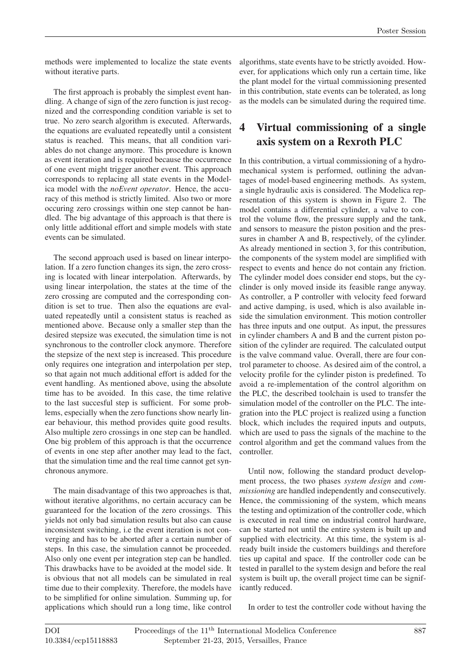methods were implemented to localize the state events without iterative parts.

The first approach is probably the simplest event handling. A change of sign of the zero function is just recognized and the corresponding condition variable is set to true. No zero search algorithm is executed. Afterwards, the equations are evaluated repeatedly until a consistent status is reached. This means, that all condition variables do not change anymore. This procedure is known as event iteration and is required because the occurrence of one event might trigger another event. This approach corresponds to replacing all state events in the Modelica model with the *noEvent operator*. Hence, the accuracy of this method is strictly limited. Also two or more occuring zero crossings within one step cannot be handled. The big advantage of this approach is that there is only little additional effort and simple models with state events can be simulated.

The second approach used is based on linear interpolation. If a zero function changes its sign, the zero crossing is located with linear interpolation. Afterwards, by using linear interpolation, the states at the time of the zero crossing are computed and the corresponding condition is set to true. Then also the equations are evaluated repeatedly until a consistent status is reached as mentioned above. Because only a smaller step than the desired stepsize was executed, the simulation time is not synchronous to the controller clock anymore. Therefore the stepsize of the next step is increased. This procedure only requires one integration and interpolation per step, so that again not much additional effort is added for the event handling. As mentioned above, using the absolute time has to be avoided. In this case, the time relative to the last succesful step is sufficient. For some problems, especially when the zero functions show nearly linear behaviour, this method provides quite good results. Also multiple zero crossings in one step can be handled. One big problem of this approach is that the occurrence of events in one step after another may lead to the fact, that the simulation time and the real time cannot get synchronous anymore.

The main disadvantage of this two approaches is that, without iterative algorithms, no certain accuracy can be guaranteed for the location of the zero crossings. This yields not only bad simulation results but also can cause inconsistent switching, i.e the event iteration is not converging and has to be aborted after a certain number of steps. In this case, the simulation cannot be proceeded. Also only one event per integration step can be handled. This drawbacks have to be avoided at the model side. It is obvious that not all models can be simulated in real time due to their complexity. Therefore, the models have to be simplified for online simulation. Summing up, for applications which should run a long time, like control

algorithms, state events have to be strictly avoided. However, for applications which only run a certain time, like the plant model for the virtual commissioning presented in this contribution, state events can be tolerated, as long as the models can be simulated during the required time.

# **4 Virtual commissioning of a single axis system on a Rexroth PLC**

In this contribution, a virtual commissioning of a hydromechanical system is performed, outlining the advantages of model-based engineering methods. As system, a single hydraulic axis is considered. The Modelica representation of this system is shown in Figure 2. The model contains a differential cylinder, a valve to control the volume flow, the pressure supply and the tank, and sensors to measure the piston position and the pressures in chamber A and B, respectively, of the cylinder. As already mentioned in section 3, for this contribution, the components of the system model are simplified with respect to events and hence do not contain any friction. The cylinder model does consider end stops, but the cyclinder is only moved inside its feasible range anyway. As controller, a P controller with velocity feed forward and active damping, is used, which is also available inside the simulation environment. This motion controller has three inputs and one output. As input, the pressures in cylinder chambers A and B and the current piston position of the cylinder are required. The calculated output is the valve command value. Overall, there are four control parameter to choose. As desired aim of the control, a velocity profile for the cylinder piston is predefined. To avoid a re-implementation of the control algorithm on the PLC, the described toolchain is used to transfer the simulation model of the controller on the PLC. The integration into the PLC project is realized using a function block, which includes the required inputs and outputs, which are used to pass the signals of the machine to the control algorithm and get the command values from the controller.

Until now, following the standard product development process, the two phases *system design* and *commissioning* are handled independently and consecutively. Hence, the commissioning of the system, which means the testing and optimization of the controller code, which is executed in real time on industrial control hardware, can be started not until the entire system is built up and supplied with electricity. At this time, the system is already built inside the customers buildings and therefore ties up capital and space. If the controller code can be tested in parallel to the system design and before the real system is built up, the overall project time can be significantly reduced.

In order to test the controller code without having the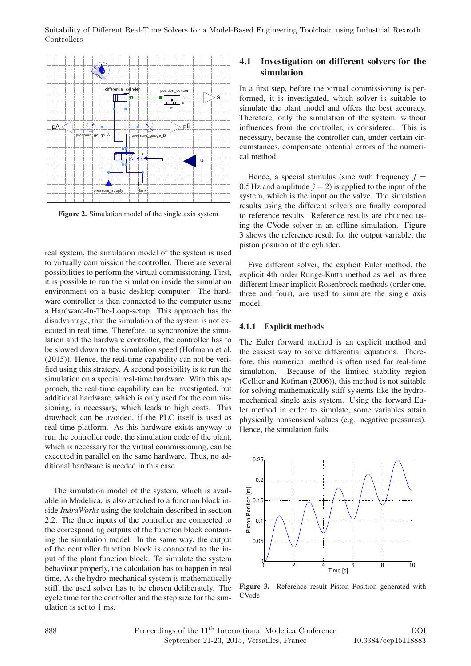

**Figure 2.** Simulation model of the single axis system

real system, the simulation model of the system is used to virtually commission the controller. There are several possibilities to perform the virtual commissioning. First, it is possible to run the simulation inside the simulation environment on a basic desktop computer. The hardware controller is then connected to the computer using a Hardware-In-The-Loop-setup. This approach has the disadvantage, that the simulation of the system is not executed in real time. Therefore, to synchronize the simulation and the hardware controller, the controller has to be slowed down to the simulation speed (Hofmann et al. (2015)). Hence, the real-time capability can not be verified using this strategy. A second possibility is to run the simulation on a special real-time hardware. With this approach, the real-time capability can be investigated, but additional hardware, which is only used for the commissioning, is necessary, which leads to high costs. This drawback can be avoided, if the PLC itself is used as real-time platform. As this hardware exists anyway to run the controller code, the simulation code of the plant, which is necessary for the virtual commissioning, can be executed in parallel on the same hardware. Thus, no additional hardware is needed in this case.

The simulation model of the system, which is available in Modelica, is also attached to a function block inside *IndraWorks* using the toolchain described in section 2.2. The three inputs of the controller are connected to the corresponding outputs of the function block containing the simulation model. In the same way, the output of the controller function block is connected to the input of the plant function block. To simulate the system behaviour properly, the calculation has to happen in real time. As the hydro-mechanical system is mathematically stiff, the used solver has to be chosen deliberately. The cycle time for the controller and the step size for the simulation is set to 1 ms.

#### **4.1 Investigation on different solvers for the simulation**

In a first step, before the virtual commissioning is performed, it is investigated, which solver is suitable to simulate the plant model and offers the best accuracy. Therefore, only the simulation of the system, without influences from the controller, is considered. This is necessary, because the controller can, under certain circumstances, compensate potential errors of the numerical method.

Hence, a special stimulus (sine with frequency  $f =$ 0.5Hz and amplitude  $\hat{v} = 2$ ) is applied to the input of the system, which is the input on the valve. The simulation results using the different solvers are finally compared to reference results. Reference results are obtained using the CVode solver in an offline simulation. Figure 3 shows the reference result for the output variable, the piston position of the cylinder.

Five different solver, the explicit Euler method, the explicit 4th order Runge-Kutta method as well as three different linear implicit Rosenbrock methods (order one, three and four), are used to simulate the single axis model.

#### **4.1.1 Explicit methods**

The Euler forward method is an explicit method and the easiest way to solve differential equations. Therefore, this numerical method is often used for real-time simulation. Because of the limited stability region (Cellier and Kofman (2006)), this method is not suitable for solving mathematically stiff systems like the hydromechanical single axis system. Using the forward Euler method in order to simulate, some variables attain physically nonsensical values (e.g. negative pressures). Hence, the simulation fails.



**Figure 3.** Reference result Piston Position generated with CVode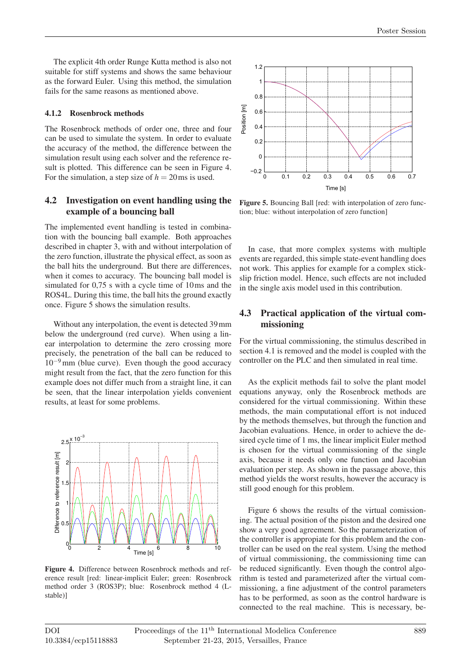The explicit 4th order Runge Kutta method is also not suitable for stiff systems and shows the same behaviour as the forward Euler. Using this method, the simulation fails for the same reasons as mentioned above.

#### **4.1.2 Rosenbrock methods**

The Rosenbrock methods of order one, three and four can be used to simulate the system. In order to evaluate the accuracy of the method, the difference between the simulation result using each solver and the reference result is plotted. This difference can be seen in Figure 4. For the simulation, a step size of  $h = 20$  ms is used.

### **4.2 Investigation on event handling using the example of a bouncing ball**

The implemented event handling is tested in combination with the bouncing ball example. Both approaches described in chapter 3, with and without interpolation of the zero function, illustrate the physical effect, as soon as the ball hits the underground. But there are differences, when it comes to accuracy. The bouncing ball model is simulated for 0,75 s with a cycle time of 10ms and the ROS4L. During this time, the ball hits the ground exactly once. Figure 5 shows the simulation results.

Without any interpolation, the event is detected 39mm below the underground (red curve). When using a linear interpolation to determine the zero crossing more precisely, the penetration of the ball can be reduced to  $10^{-9}$  mm (blue curve). Even though the good accuracy might result from the fact, that the zero function for this example does not differ much from a straight line, it can be seen, that the linear interpolation yields convenient results, at least for some problems.



**Figure 4.** Difference between Rosenbrock methods and reference result [red: linear-implicit Euler; green: Rosenbrock method order 3 (ROS3P); blue: Rosenbrock method 4 (Lstable)]



**Figure 5.** Bouncing Ball [red: with interpolation of zero function; blue: without interpolation of zero function]

In case, that more complex systems with multiple events are regarded, this simple state-event handling does not work. This applies for example for a complex stickslip friction model. Hence, such effects are not included in the single axis model used in this contribution.

#### **4.3 Practical application of the virtual commissioning**

For the virtual commissioning, the stimulus described in section 4.1 is removed and the model is coupled with the controller on the PLC and then simulated in real time.

As the explicit methods fail to solve the plant model equations anyway, only the Rosenbrock methods are considered for the virtual commissioning. Within these methods, the main computational effort is not induced by the methods themselves, but through the function and Jacobian evaluations. Hence, in order to achieve the desired cycle time of 1 ms, the linear implicit Euler method is chosen for the virtual commissioning of the single axis, because it needs only one function and Jacobian evaluation per step. As shown in the passage above, this method yields the worst results, however the accuracy is still good enough for this problem.

Figure 6 shows the results of the virtual comissioning. The actual position of the piston and the desired one show a very good agreement. So the parameterization of the controller is appropiate for this problem and the controller can be used on the real system. Using the method of virtual commissioning, the commissioning time can be reduced significantly. Even though the control algorithm is tested and parameterized after the virtual commissioning, a fine adjustment of the control parameters has to be performed, as soon as the control hardware is connected to the real machine. This is necessary, be-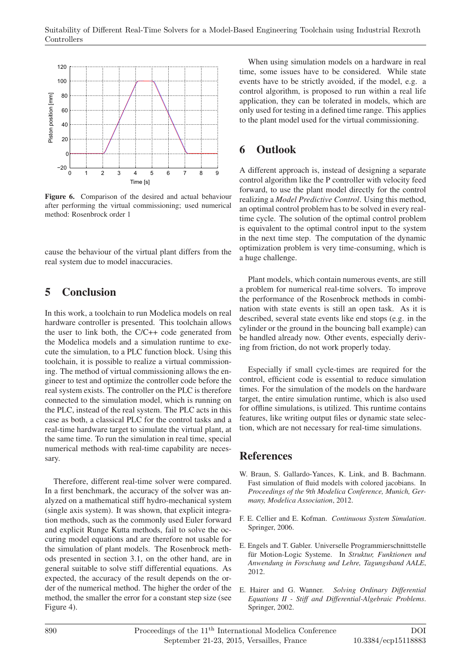

**Figure 6.** Comparison of the desired and actual behaviour after performing the virtual commissioning; used numerical method: Rosenbrock order 1

cause the behaviour of the virtual plant differs from the real system due to model inaccuracies.

## **5 Conclusion**

In this work, a toolchain to run Modelica models on real hardware controller is presented. This toolchain allows the user to link both, the C/C++ code generated from the Modelica models and a simulation runtime to execute the simulation, to a PLC function block. Using this toolchain, it is possible to realize a virtual commissioning. The method of virtual commissioning allows the engineer to test and optimize the controller code before the real system exists. The controller on the PLC is therefore connected to the simulation model, which is running on the PLC, instead of the real system. The PLC acts in this case as both, a classical PLC for the control tasks and a real-time hardware target to simulate the virtual plant, at the same time. To run the simulation in real time, special numerical methods with real-time capability are necessary.

Therefore, different real-time solver were compared. In a first benchmark, the accuracy of the solver was analyzed on a mathematical stiff hydro-mechanical system (single axis system). It was shown, that explicit integration methods, such as the commonly used Euler forward and explicit Runge Kutta methods, fail to solve the occuring model equations and are therefore not usable for the simulation of plant models. The Rosenbrock methods presented in section 3.1, on the other hand, are in general suitable to solve stiff differential equations. As expected, the accuracy of the result depends on the order of the numerical method. The higher the order of the method, the smaller the error for a constant step size (see Figure 4).

When using simulation models on a hardware in real time, some issues have to be considered. While state events have to be strictly avoided, if the model, e.g. a control algorithm, is proposed to run within a real life application, they can be tolerated in models, which are only used for testing in a defined time range. This applies to the plant model used for the virtual commissioning.

# **6 Outlook**

A different approach is, instead of designing a separate control algorithm like the P controller with velocity feed forward, to use the plant model directly for the control realizing a *Model Predictive Control*. Using this method, an optimal control problem has to be solved in every realtime cycle. The solution of the optimal control problem is equivalent to the optimal control input to the system in the next time step. The computation of the dynamic optimization problem is very time-consuming, which is a huge challenge.

Plant models, which contain numerous events, are still a problem for numerical real-time solvers. To improve the performance of the Rosenbrock methods in combination with state events is still an open task. As it is described, several state events like end stops (e.g. in the cylinder or the ground in the bouncing ball example) can be handled already now. Other events, especially deriving from friction, do not work properly today.

Especially if small cycle-times are required for the control, efficient code is essential to reduce simulation times. For the simulation of the models on the hardware target, the entire simulation runtime, which is also used for offline simulations, is utilized. This runtime contains features, like writing output files or dynamic state selection, which are not necessary for real-time simulations.

### **References**

- W. Braun, S. Gallardo-Yances, K. Link, and B. Bachmann. Fast simulation of fluid models with colored jacobians. In *Proceedings of the 9th Modelica Conference, Munich, Germany, Modelica Association*, 2012.
- F. E. Cellier and E. Kofman. *Continuous System Simulation*. Springer, 2006.
- E. Engels and T. Gabler. Universelle Programmierschnittstelle für Motion-Logic Systeme. In *Struktur, Funktionen und Anwendung in Forschung und Lehre, Tagungsband AALE*, 2012.
- E. Hairer and G. Wanner. *Solving Ordinary Differential Equations II - Stiff and Differential-Algebraic Problems*. Springer, 2002.